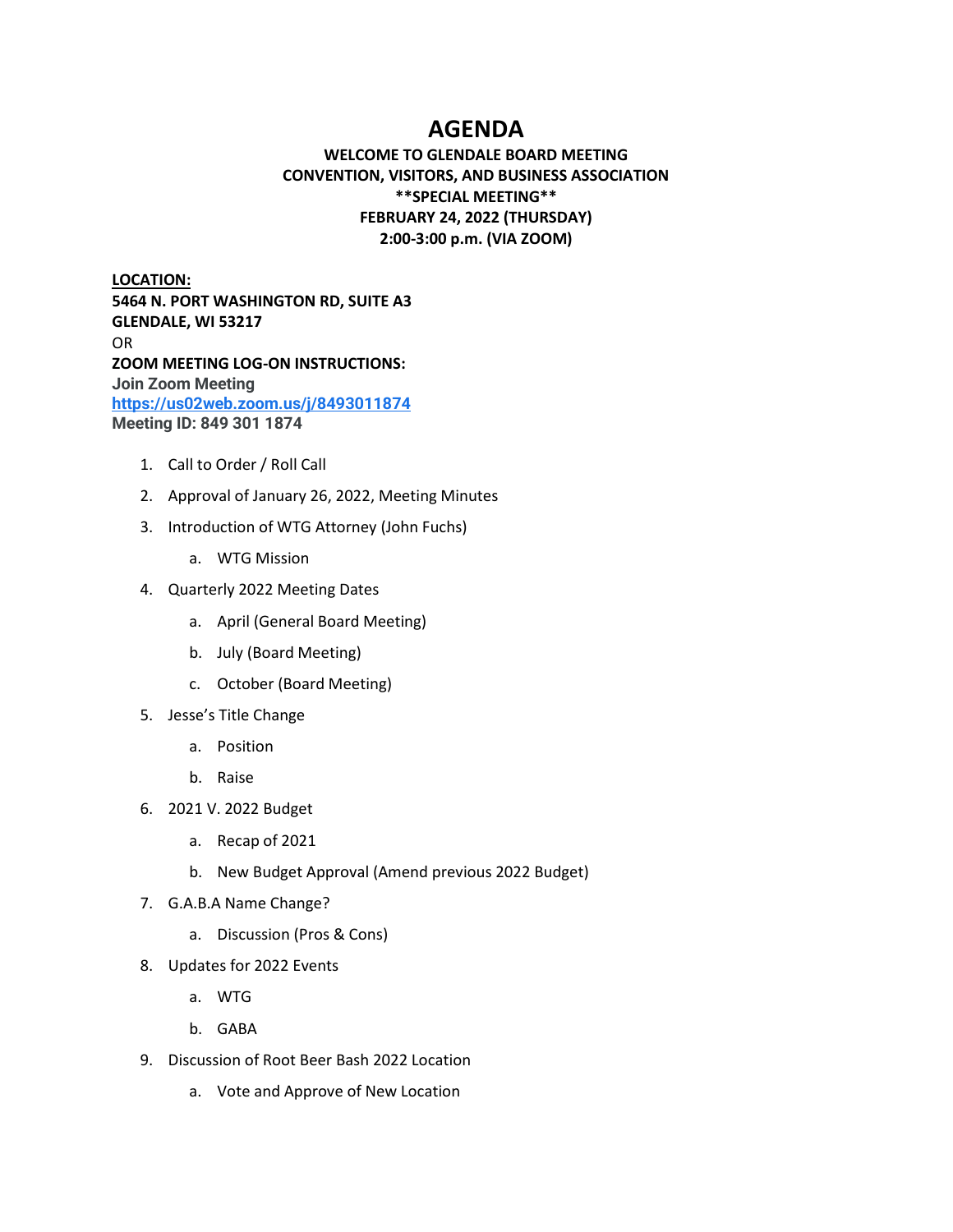# **AGENDA**

## **WELCOME TO GLENDALE BOARD MEETING CONVENTION, VISITORS, AND BUSINESS ASSOCIATION \*\*SPECIAL MEETING\*\* FEBRUARY 24, 2022 (THURSDAY) 2:00-3:00 p.m. (VIA ZOOM)**

**LOCATION: 5464 N. PORT WASHINGTON RD, SUITE A3 GLENDALE, WI 53217**  OR **ZOOM MEETING LOG-ON INSTRUCTIONS: Join Zoom Meeting <https://us02web.zoom.us/j/8493011874> Meeting ID: 849 301 1874**

- 1. Call to Order / Roll Call
- 2. Approval of January 26, 2022, Meeting Minutes
- 3. Introduction of WTG Attorney (John Fuchs)
	- a. WTG Mission
- 4. Quarterly 2022 Meeting Dates
	- a. April (General Board Meeting)
	- b. July (Board Meeting)
	- c. October (Board Meeting)
- 5. Jesse's Title Change
	- a. Position
	- b. Raise
- 6. 2021 V. 2022 Budget
	- a. Recap of 2021
	- b. New Budget Approval (Amend previous 2022 Budget)
- 7. G.A.B.A Name Change?
	- a. Discussion (Pros & Cons)
- 8. Updates for 2022 Events
	- a. WTG
	- b. GABA
- 9. Discussion of Root Beer Bash 2022 Location
	- a. Vote and Approve of New Location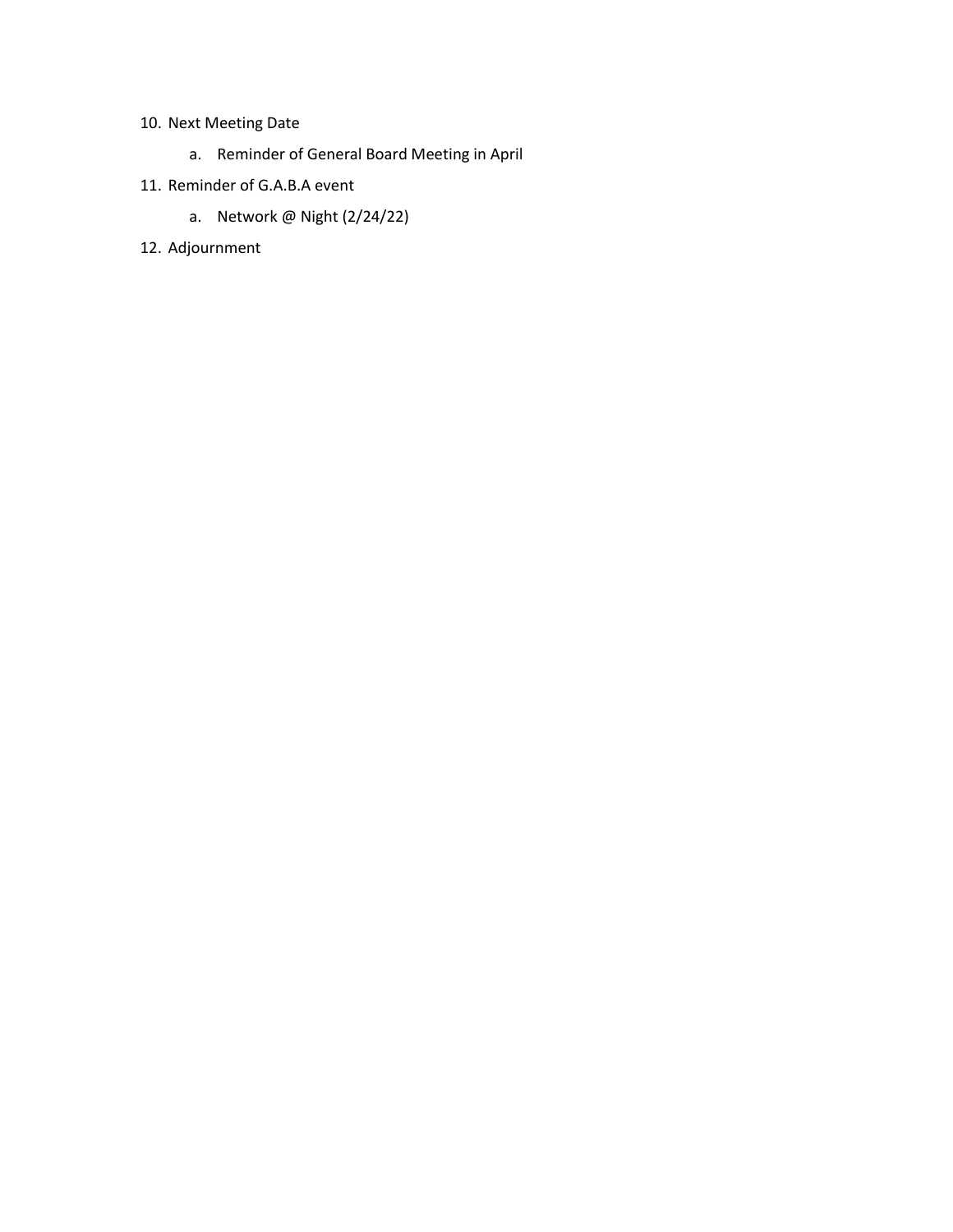## 10. Next Meeting Date

- a. Reminder of General Board Meeting in April
- 11. Reminder of G.A.B.A event
	- a. Network @ Night (2/24/22)
- 12. Adjournment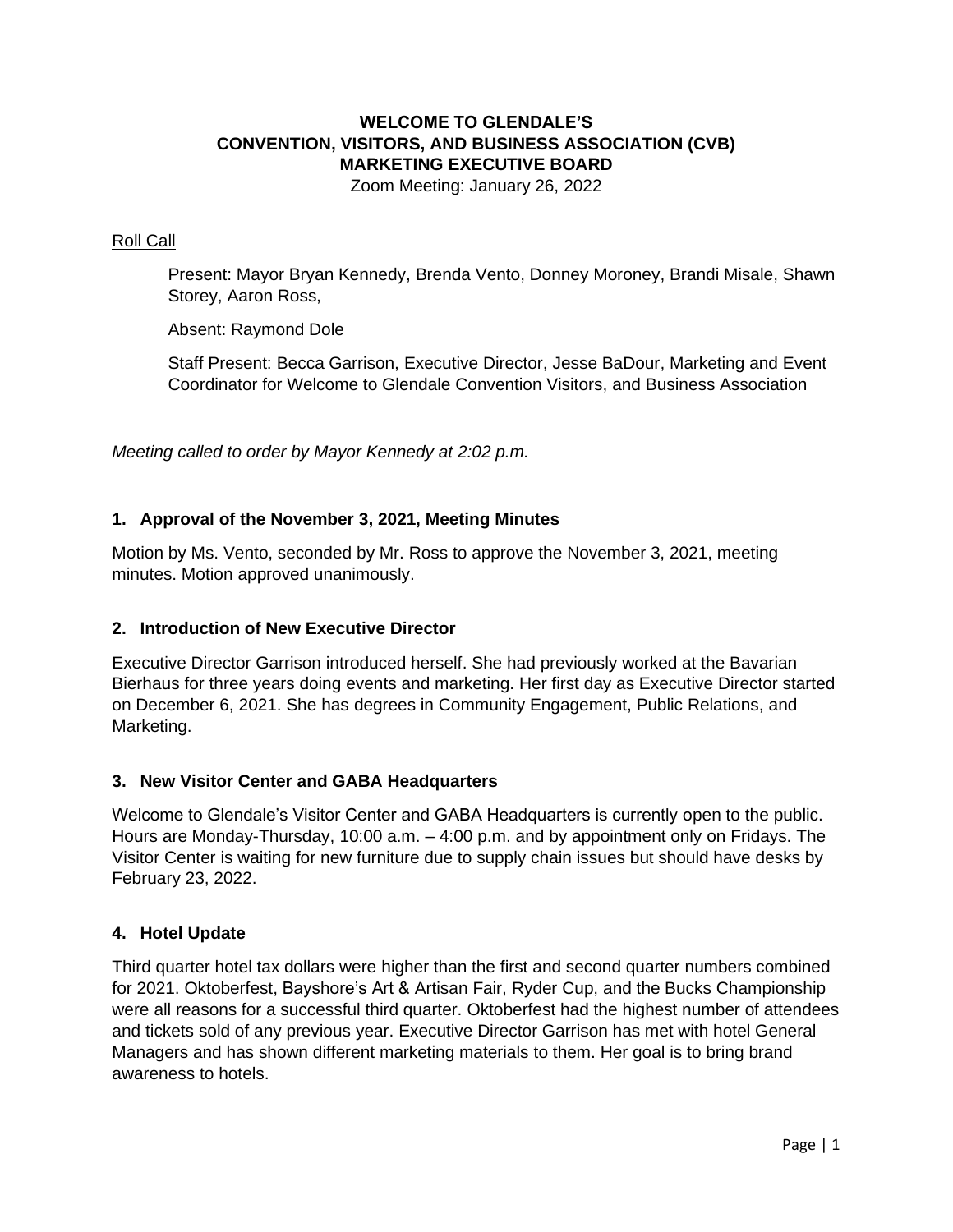## **WELCOME TO GLENDALE'S CONVENTION, VISITORS, AND BUSINESS ASSOCIATION (CVB) MARKETING EXECUTIVE BOARD**

Zoom Meeting: January 26, 2022

#### Roll Call

Present: Mayor Bryan Kennedy, Brenda Vento, Donney Moroney, Brandi Misale, Shawn Storey, Aaron Ross,

Absent: Raymond Dole

Staff Present: Becca Garrison, Executive Director, Jesse BaDour, Marketing and Event Coordinator for Welcome to Glendale Convention Visitors, and Business Association

*Meeting called to order by Mayor Kennedy at 2:02 p.m.*

### **1. Approval of the November 3, 2021, Meeting Minutes**

Motion by Ms. Vento, seconded by Mr. Ross to approve the November 3, 2021, meeting minutes. Motion approved unanimously.

#### **2. Introduction of New Executive Director**

Executive Director Garrison introduced herself. She had previously worked at the Bavarian Bierhaus for three years doing events and marketing. Her first day as Executive Director started on December 6, 2021. She has degrees in Community Engagement, Public Relations, and Marketing.

#### **3. New Visitor Center and GABA Headquarters**

Welcome to Glendale's Visitor Center and GABA Headquarters is currently open to the public. Hours are Monday-Thursday, 10:00 a.m. – 4:00 p.m. and by appointment only on Fridays. The Visitor Center is waiting for new furniture due to supply chain issues but should have desks by February 23, 2022.

#### **4. Hotel Update**

Third quarter hotel tax dollars were higher than the first and second quarter numbers combined for 2021. Oktoberfest, Bayshore's Art & Artisan Fair, Ryder Cup, and the Bucks Championship were all reasons for a successful third quarter. Oktoberfest had the highest number of attendees and tickets sold of any previous year. Executive Director Garrison has met with hotel General Managers and has shown different marketing materials to them. Her goal is to bring brand awareness to hotels.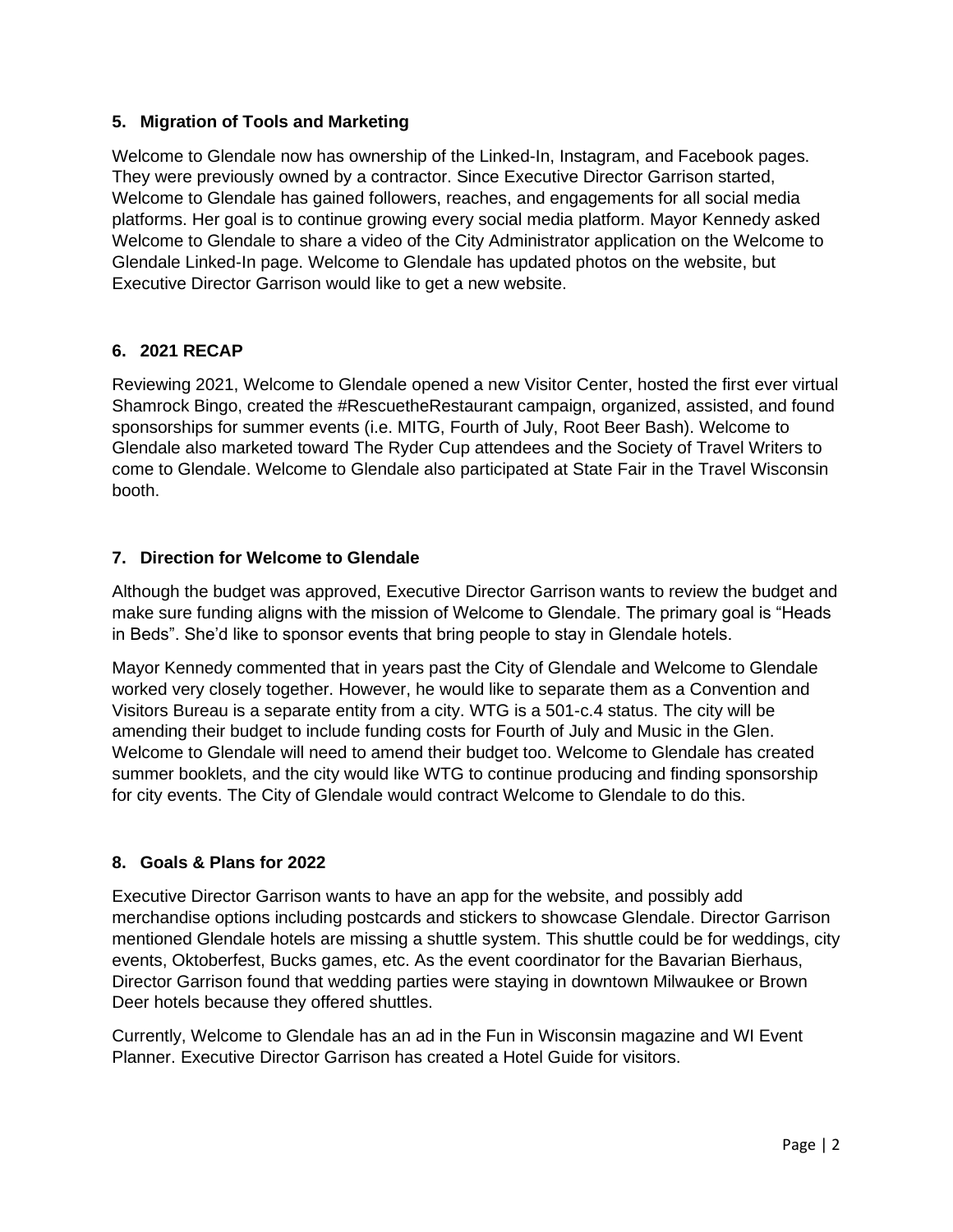## **5. Migration of Tools and Marketing**

Welcome to Glendale now has ownership of the Linked-In, Instagram, and Facebook pages. They were previously owned by a contractor. Since Executive Director Garrison started, Welcome to Glendale has gained followers, reaches, and engagements for all social media platforms. Her goal is to continue growing every social media platform. Mayor Kennedy asked Welcome to Glendale to share a video of the City Administrator application on the Welcome to Glendale Linked-In page. Welcome to Glendale has updated photos on the website, but Executive Director Garrison would like to get a new website.

## **6. 2021 RECAP**

Reviewing 2021, Welcome to Glendale opened a new Visitor Center, hosted the first ever virtual Shamrock Bingo, created the #RescuetheRestaurant campaign, organized, assisted, and found sponsorships for summer events (i.e. MITG, Fourth of July, Root Beer Bash). Welcome to Glendale also marketed toward The Ryder Cup attendees and the Society of Travel Writers to come to Glendale. Welcome to Glendale also participated at State Fair in the Travel Wisconsin booth.

## **7. Direction for Welcome to Glendale**

Although the budget was approved, Executive Director Garrison wants to review the budget and make sure funding aligns with the mission of Welcome to Glendale. The primary goal is "Heads in Beds". She'd like to sponsor events that bring people to stay in Glendale hotels.

Mayor Kennedy commented that in years past the City of Glendale and Welcome to Glendale worked very closely together. However, he would like to separate them as a Convention and Visitors Bureau is a separate entity from a city. WTG is a 501-c.4 status. The city will be amending their budget to include funding costs for Fourth of July and Music in the Glen. Welcome to Glendale will need to amend their budget too. Welcome to Glendale has created summer booklets, and the city would like WTG to continue producing and finding sponsorship for city events. The City of Glendale would contract Welcome to Glendale to do this.

## **8. Goals & Plans for 2022**

Executive Director Garrison wants to have an app for the website, and possibly add merchandise options including postcards and stickers to showcase Glendale. Director Garrison mentioned Glendale hotels are missing a shuttle system. This shuttle could be for weddings, city events, Oktoberfest, Bucks games, etc. As the event coordinator for the Bavarian Bierhaus, Director Garrison found that wedding parties were staying in downtown Milwaukee or Brown Deer hotels because they offered shuttles.

Currently, Welcome to Glendale has an ad in the Fun in Wisconsin magazine and WI Event Planner. Executive Director Garrison has created a Hotel Guide for visitors.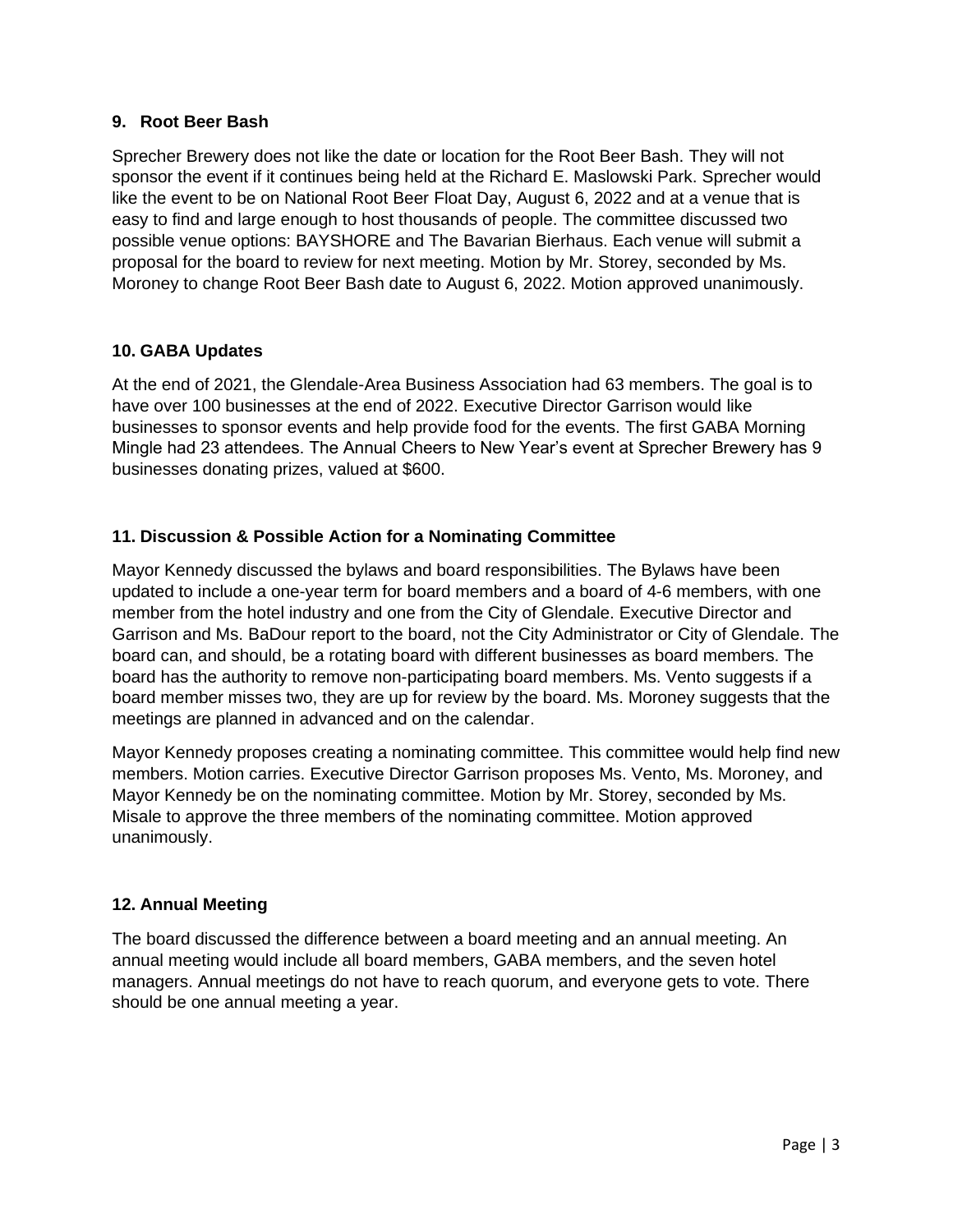#### **9. Root Beer Bash**

Sprecher Brewery does not like the date or location for the Root Beer Bash. They will not sponsor the event if it continues being held at the Richard E. Maslowski Park. Sprecher would like the event to be on National Root Beer Float Day, August 6, 2022 and at a venue that is easy to find and large enough to host thousands of people. The committee discussed two possible venue options: BAYSHORE and The Bavarian Bierhaus. Each venue will submit a proposal for the board to review for next meeting. Motion by Mr. Storey, seconded by Ms. Moroney to change Root Beer Bash date to August 6, 2022. Motion approved unanimously.

### **10. GABA Updates**

At the end of 2021, the Glendale-Area Business Association had 63 members. The goal is to have over 100 businesses at the end of 2022. Executive Director Garrison would like businesses to sponsor events and help provide food for the events. The first GABA Morning Mingle had 23 attendees. The Annual Cheers to New Year's event at Sprecher Brewery has 9 businesses donating prizes, valued at \$600.

### **11. Discussion & Possible Action for a Nominating Committee**

Mayor Kennedy discussed the bylaws and board responsibilities. The Bylaws have been updated to include a one-year term for board members and a board of 4-6 members, with one member from the hotel industry and one from the City of Glendale. Executive Director and Garrison and Ms. BaDour report to the board, not the City Administrator or City of Glendale. The board can, and should, be a rotating board with different businesses as board members. The board has the authority to remove non-participating board members. Ms. Vento suggests if a board member misses two, they are up for review by the board. Ms. Moroney suggests that the meetings are planned in advanced and on the calendar.

Mayor Kennedy proposes creating a nominating committee. This committee would help find new members. Motion carries. Executive Director Garrison proposes Ms. Vento, Ms. Moroney, and Mayor Kennedy be on the nominating committee. Motion by Mr. Storey, seconded by Ms. Misale to approve the three members of the nominating committee. Motion approved unanimously.

### **12. Annual Meeting**

The board discussed the difference between a board meeting and an annual meeting. An annual meeting would include all board members, GABA members, and the seven hotel managers. Annual meetings do not have to reach quorum, and everyone gets to vote. There should be one annual meeting a year.